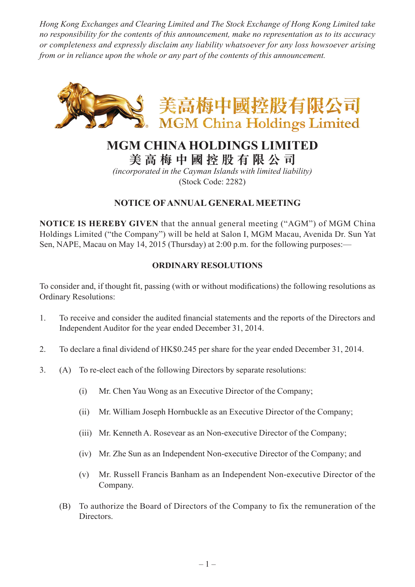*Hong Kong Exchanges and Clearing Limited and The Stock Exchange of Hong Kong Limited take no responsibility for the contents of this announcement, make no representation as to its accuracy or completeness and expressly disclaim any liability whatsoever for any loss howsoever arising from or in reliance upon the whole or any part of the contents of this announcement.*



# **MGM CHINA HOLDINGS LIMITED**

**美 高 梅 中 國 控 股 有 限 公 司**

*(incorporated in the Cayman Islands with limited liability)* (Stock Code: 2282)

## **NOTICE OF ANNUAL GENERAL MEETING**

**NOTICE IS HEREBY GIVEN** that the annual general meeting ("AGM") of MGM China Holdings Limited ("the Company") will be held at Salon I, MGM Macau, Avenida Dr. Sun Yat Sen, NAPE, Macau on May 14, 2015 (Thursday) at 2:00 p.m. for the following purposes:—

#### **ORDINARY RESOLUTIONS**

To consider and, if thought fit, passing (with or without modifications) the following resolutions as Ordinary Resolutions:

- 1. To receive and consider the audited financial statements and the reports of the Directors and Independent Auditor for the year ended December 31, 2014.
- 2. To declare a final dividend of HK\$0.245 per share for the year ended December 31, 2014.
- 3. (A) To re-elect each of the following Directors by separate resolutions:
	- (i) Mr. Chen Yau Wong as an Executive Director of the Company;
	- (ii) Mr. William Joseph Hornbuckle as an Executive Director of the Company;
	- (iii) Mr. Kenneth A. Rosevear as an Non-executive Director of the Company;
	- (iv) Mr. Zhe Sun as an Independent Non-executive Director of the Company; and
	- (v) Mr. Russell Francis Banham as an Independent Non-executive Director of the Company.
	- (B) To authorize the Board of Directors of the Company to fix the remuneration of the Directors.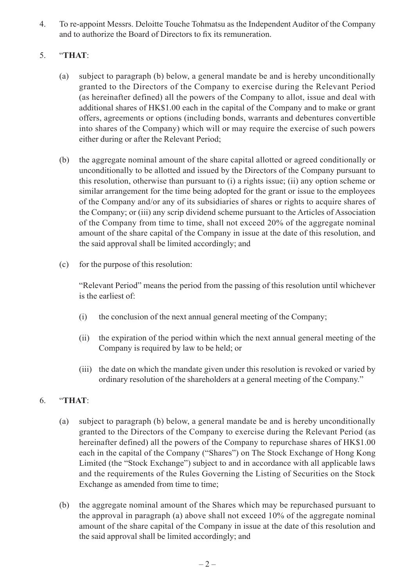4. To re-appoint Messrs. Deloitte Touche Tohmatsu as the Independent Auditor of the Company and to authorize the Board of Directors to fix its remuneration.

### 5. "**THAT**:

- (a) subject to paragraph (b) below, a general mandate be and is hereby unconditionally granted to the Directors of the Company to exercise during the Relevant Period (as hereinafter defined) all the powers of the Company to allot, issue and deal with additional shares of HK\$1.00 each in the capital of the Company and to make or grant offers, agreements or options (including bonds, warrants and debentures convertible into shares of the Company) which will or may require the exercise of such powers either during or after the Relevant Period;
- (b) the aggregate nominal amount of the share capital allotted or agreed conditionally or unconditionally to be allotted and issued by the Directors of the Company pursuant to this resolution, otherwise than pursuant to (i) a rights issue; (ii) any option scheme or similar arrangement for the time being adopted for the grant or issue to the employees of the Company and/or any of its subsidiaries of shares or rights to acquire shares of the Company; or (iii) any scrip dividend scheme pursuant to the Articles of Association of the Company from time to time, shall not exceed 20% of the aggregate nominal amount of the share capital of the Company in issue at the date of this resolution, and the said approval shall be limited accordingly; and
- (c) for the purpose of this resolution:

"Relevant Period" means the period from the passing of this resolution until whichever is the earliest of:

- (i) the conclusion of the next annual general meeting of the Company;
- (ii) the expiration of the period within which the next annual general meeting of the Company is required by law to be held; or
- (iii) the date on which the mandate given under this resolution is revoked or varied by ordinary resolution of the shareholders at a general meeting of the Company."

#### 6. "**THAT**:

- (a) subject to paragraph (b) below, a general mandate be and is hereby unconditionally granted to the Directors of the Company to exercise during the Relevant Period (as hereinafter defined) all the powers of the Company to repurchase shares of HK\$1.00 each in the capital of the Company ("Shares") on The Stock Exchange of Hong Kong Limited (the "Stock Exchange") subject to and in accordance with all applicable laws and the requirements of the Rules Governing the Listing of Securities on the Stock Exchange as amended from time to time;
- (b) the aggregate nominal amount of the Shares which may be repurchased pursuant to the approval in paragraph (a) above shall not exceed 10% of the aggregate nominal amount of the share capital of the Company in issue at the date of this resolution and the said approval shall be limited accordingly; and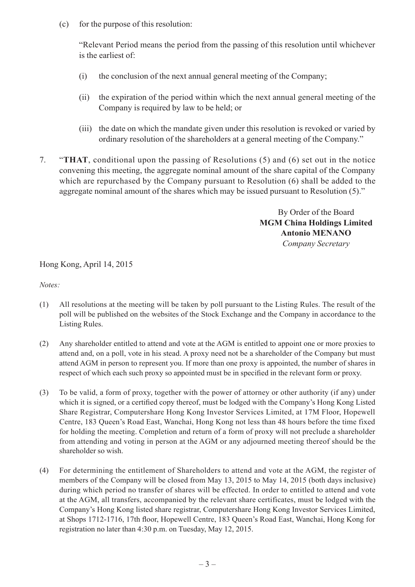(c) for the purpose of this resolution:

"Relevant Period means the period from the passing of this resolution until whichever is the earliest of:

- (i) the conclusion of the next annual general meeting of the Company;
- (ii) the expiration of the period within which the next annual general meeting of the Company is required by law to be held; or
- (iii) the date on which the mandate given under this resolution is revoked or varied by ordinary resolution of the shareholders at a general meeting of the Company."
- 7. "**THAT**, conditional upon the passing of Resolutions (5) and (6) set out in the notice convening this meeting, the aggregate nominal amount of the share capital of the Company which are repurchased by the Company pursuant to Resolution (6) shall be added to the aggregate nominal amount of the shares which may be issued pursuant to Resolution (5)."

By Order of the Board **MGM China Holdings Limited Antonio MENANO** *Company Secretary*

Hong Kong, April 14, 2015

*Notes:*

- (1) All resolutions at the meeting will be taken by poll pursuant to the Listing Rules. The result of the poll will be published on the websites of the Stock Exchange and the Company in accordance to the Listing Rules.
- (2) Any shareholder entitled to attend and vote at the AGM is entitled to appoint one or more proxies to attend and, on a poll, vote in his stead. A proxy need not be a shareholder of the Company but must attend AGM in person to represent you. If more than one proxy is appointed, the number of shares in respect of which each such proxy so appointed must be in specified in the relevant form or proxy.
- (3) To be valid, a form of proxy, together with the power of attorney or other authority (if any) under which it is signed, or a certified copy thereof, must be lodged with the Company's Hong Kong Listed Share Registrar, Computershare Hong Kong Investor Services Limited, at 17M Floor, Hopewell Centre, 183 Queen's Road East, Wanchai, Hong Kong not less than 48 hours before the time fixed for holding the meeting. Completion and return of a form of proxy will not preclude a shareholder from attending and voting in person at the AGM or any adjourned meeting thereof should be the shareholder so wish.
- (4) For determining the entitlement of Shareholders to attend and vote at the AGM, the register of members of the Company will be closed from May 13, 2015 to May 14, 2015 (both days inclusive) during which period no transfer of shares will be effected. In order to entitled to attend and vote at the AGM, all transfers, accompanied by the relevant share certificates, must be lodged with the Company's Hong Kong listed share registrar, Computershare Hong Kong Investor Services Limited, at Shops 1712-1716, 17th floor, Hopewell Centre, 183 Queen's Road East, Wanchai, Hong Kong for registration no later than 4:30 p.m. on Tuesday, May 12, 2015.